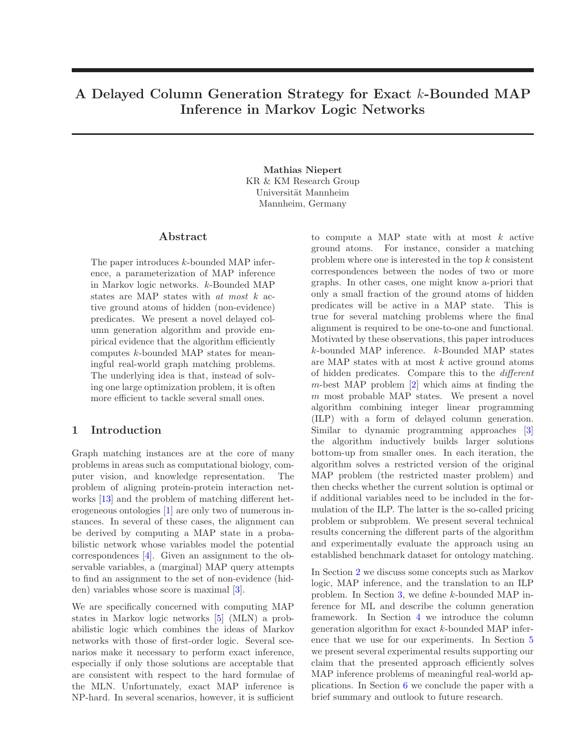# A Delayed Column Generation Strategy for Exact k-Bounded MAP Inference in Markov Logic Networks

Mathias Niepert KR & KM Research Group Universität Mannheim Mannheim, Germany

#### Abstract

The paper introduces k-bounded MAP inference, a parameterization of MAP inference in Markov logic networks. k-Bounded MAP states are MAP states with at most k active ground atoms of hidden (non-evidence) predicates. We present a novel delayed column generation algorithm and provide empirical evidence that the algorithm efficiently computes k-bounded MAP states for meaningful real-world graph matching problems. The underlying idea is that, instead of solving one large optimization problem, it is often more efficient to tackle several small ones.

## 1 Introduction

Graph matching instances are at the core of many problems in areas such as computational biology, computer vision, and knowledge representation. The problem of aligning protein-protein interaction networks [\[13\]](#page-7-0) and the problem of matching different heterogeneous ontologies [\[1\]](#page-7-1) are only two of numerous instances. In several of these cases, the alignment can be derived by computing a MAP state in a probabilistic network whose variables model the potential correspondences [\[4\]](#page-7-2). Given an assignment to the observable variables, a (marginal) MAP query attempts to find an assignment to the set of non-evidence (hidden) variables whose score is maximal [\[3\]](#page-7-3).

We are specifically concerned with computing MAP states in Markov logic networks [\[5\]](#page-7-4) (MLN) a probabilistic logic which combines the ideas of Markov networks with those of first-order logic. Several scenarios make it necessary to perform exact inference, especially if only those solutions are acceptable that are consistent with respect to the hard formulae of the MLN. Unfortunately, exact MAP inference is NP-hard. In several scenarios, however, it is sufficient

to compute a MAP state with at most  $k$  active ground atoms. For instance, consider a matching problem where one is interested in the top  $k$  consistent correspondences between the nodes of two or more graphs. In other cases, one might know a-priori that only a small fraction of the ground atoms of hidden predicates will be active in a MAP state. This is true for several matching problems where the final alignment is required to be one-to-one and functional. Motivated by these observations, this paper introduces k-bounded MAP inference. k-Bounded MAP states are MAP states with at most  $k$  active ground atoms of hidden predicates. Compare this to the different  $m$ -best MAP problem  $[2]$  which aims at finding the  $m$  most probable MAP states. We present a novel algorithm combining integer linear programming (ILP) with a form of delayed column generation. Similar to dynamic programming approaches [\[3\]](#page-7-3) the algorithm inductively builds larger solutions bottom-up from smaller ones. In each iteration, the algorithm solves a restricted version of the original MAP problem (the restricted master problem) and then checks whether the current solution is optimal or if additional variables need to be included in the formulation of the ILP. The latter is the so-called pricing problem or subproblem. We present several technical results concerning the different parts of the algorithm and experimentally evaluate the approach using an established benchmark dataset for ontology matching.

In Section [2](#page-1-0) we discuss some concepts such as Markov logic, MAP inference, and the translation to an ILP problem. In Section [3,](#page-2-0) we define k-bounded MAP inference for ML and describe the column generation framework. In Section [4](#page-5-0) we introduce the column generation algorithm for exact k-bounded MAP inference that we use for our experiments. In Section [5](#page-6-0) we present several experimental results supporting our claim that the presented approach efficiently solves MAP inference problems of meaningful real-world applications. In Section [6](#page-7-6) we conclude the paper with a brief summary and outlook to future research.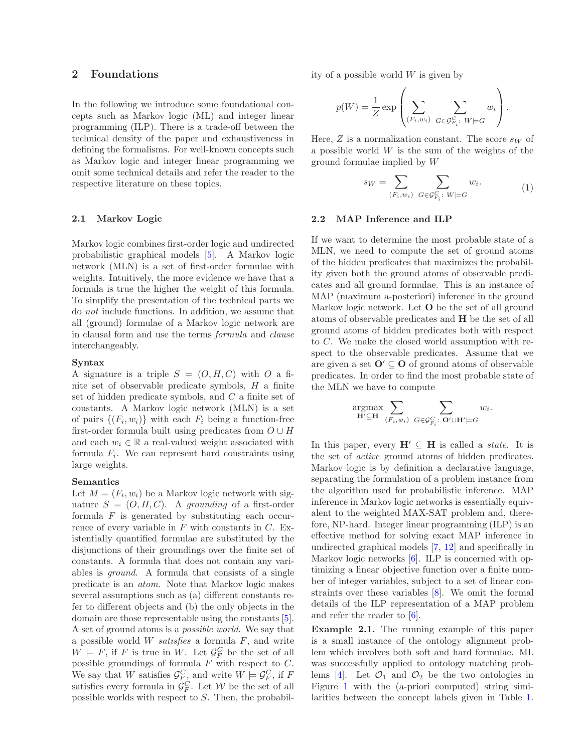## <span id="page-1-0"></span>2 Foundations

In the following we introduce some foundational concepts such as Markov logic (ML) and integer linear programming (ILP). There is a trade-off between the technical density of the paper and exhaustiveness in defining the formalisms. For well-known concepts such as Markov logic and integer linear programming we omit some technical details and refer the reader to the respective literature on these topics.

#### 2.1 Markov Logic

Markov logic combines first-order logic and undirected probabilistic graphical models [\[5\]](#page-7-4). A Markov logic network (MLN) is a set of first-order formulae with weights. Intuitively, the more evidence we have that a formula is true the higher the weight of this formula. To simplify the presentation of the technical parts we do not include functions. In addition, we assume that all (ground) formulae of a Markov logic network are in clausal form and use the terms formula and clause interchangeably.

#### Syntax

A signature is a triple  $S = (O, H, C)$  with O a finite set of observable predicate symbols, H a finite set of hidden predicate symbols, and C a finite set of constants. A Markov logic network (MLN) is a set of pairs  $\{(F_i, w_i)\}\$  with each  $F_i$  being a function-free first-order formula built using predicates from  $O \cup H$ and each  $w_i \in \mathbb{R}$  a real-valued weight associated with formula  $F_i$ . We can represent hard constraints using large weights.

#### Semantics

Let  $M = (F_i, w_i)$  be a Markov logic network with signature  $S = (O, H, C)$ . A grounding of a first-order formula  $F$  is generated by substituting each occurrence of every variable in  $F$  with constants in  $C$ . Existentially quantified formulae are substituted by the disjunctions of their groundings over the finite set of constants. A formula that does not contain any variables is ground. A formula that consists of a single predicate is an atom. Note that Markov logic makes several assumptions such as (a) different constants refer to different objects and (b) the only objects in the domain are those representable using the constants [\[5\]](#page-7-4). A set of ground atoms is a possible world. We say that a possible world  $W$  satisfies a formula  $F$ , and write  $W \models F$ , if F is true in W. Let  $\mathcal{G}^C_F$  be the set of all possible groundings of formula  $F$  with respect to  $C$ . We say that W satisfies  $\mathcal{G}_{F,\zeta}^C$  and write  $W \models \mathcal{G}_F^C$ , if F satisfies every formula in  $\mathcal{G}_F^C$ . Let W be the set of all possible worlds with respect to S. Then, the probability of a possible world  $W$  is given by

$$
p(W) = \frac{1}{Z} \exp \left( \sum_{(F_i, w_i)} \sum_{G \in \mathcal{G}^G_{F_i}: W \models G} w_i \right).
$$

Here,  $Z$  is a normalization constant. The score  $s_W$  of a possible world  $W$  is the sum of the weights of the ground formulae implied by W

$$
s_W = \sum_{(F_i, w_i)} \sum_{G \in \mathcal{G}_{F_i}^G: W \models G} w_i.
$$
 (1)

#### 2.2 MAP Inference and ILP

If we want to determine the most probable state of a MLN, we need to compute the set of ground atoms of the hidden predicates that maximizes the probability given both the ground atoms of observable predicates and all ground formulae. This is an instance of MAP (maximum a-posteriori) inference in the ground Markov logic network. Let O be the set of all ground atoms of observable predicates and H be the set of all ground atoms of hidden predicates both with respect to C. We make the closed world assumption with respect to the observable predicates. Assume that we are given a set  $\mathbf{O}' \subseteq \mathbf{O}$  of ground atoms of observable predicates. In order to find the most probable state of the MLN we have to compute

$$
\underset{\mathbf{H}' \subseteq \mathbf{H}}{\operatorname{argmax}} \sum_{(F_i, w_i)} \sum_{G \in \mathcal{G}_{F_i}^G: \ \mathbf{O}' \cup \mathbf{H}' \models G} w_i.
$$

In this paper, every  $H' \subseteq H$  is called a *state*. It is the set of active ground atoms of hidden predicates. Markov logic is by definition a declarative language, separating the formulation of a problem instance from the algorithm used for probabilistic inference. MAP inference in Markov logic networks is essentially equivalent to the weighted MAX-SAT problem and, therefore, NP-hard. Integer linear programming (ILP) is an effective method for solving exact MAP inference in undirected graphical models [\[7,](#page-7-7) [12\]](#page-7-8) and specifically in Markov logic networks [\[6\]](#page-7-9). ILP is concerned with optimizing a linear objective function over a finite number of integer variables, subject to a set of linear constraints over these variables [\[8\]](#page-7-10). We omit the formal details of the ILP representation of a MAP problem and refer the reader to [\[6\]](#page-7-9).

<span id="page-1-1"></span>Example 2.1. The running example of this paper is a small instance of the ontology alignment problem which involves both soft and hard formulae. ML was successfully applied to ontology matching prob-lems [\[4\]](#page-7-2). Let  $\mathcal{O}_1$  and  $\mathcal{O}_2$  be the two ontologies in Figure [1](#page-2-1) with the (a-priori computed) string similarities between the concept labels given in Table [1.](#page-2-2)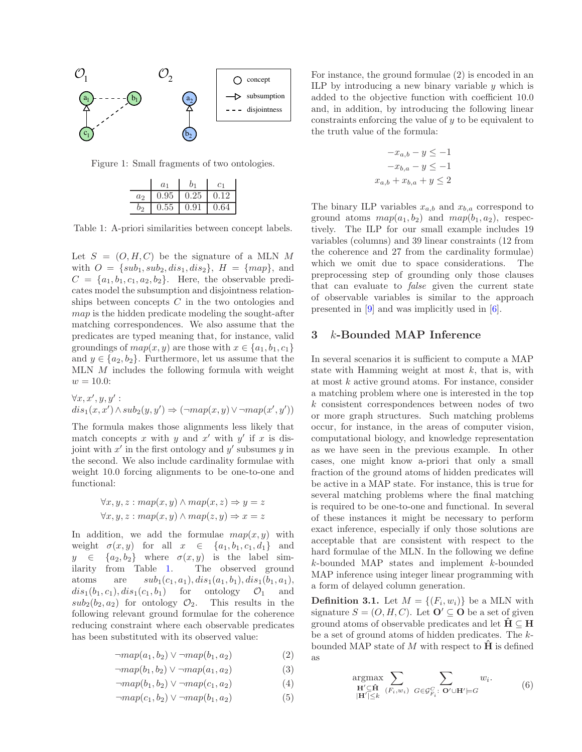

Figure 1: Small fragments of two ontologies.

<span id="page-2-1"></span>

|       | a <sub>1</sub> |      | C <sub>1</sub> |
|-------|----------------|------|----------------|
| $a_2$ | 0.95           | 0.25 | 0.12           |
|       | $0.55\,$       | 0.91 | 0.64           |

<span id="page-2-2"></span>Table 1: A-priori similarities between concept labels.

Let  $S = (O, H, C)$  be the signature of a MLN M with  $O = \{sub_1, sub_2, dis_1, dis_2\}, H = \{map\},\$ and  $C = \{a_1, b_1, c_1, a_2, b_2\}.$  Here, the observable predicates model the subsumption and disjointness relationships between concepts  $C$  in the two ontologies and map is the hidden predicate modeling the sought-after matching correspondences. We also assume that the predicates are typed meaning that, for instance, valid groundings of  $map(x, y)$  are those with  $x \in \{a_1, b_1, c_1\}$ and  $y \in \{a_2, b_2\}$ . Furthermore, let us assume that the MLN M includes the following formula with weight  $w = 10.0$ :

$$
\forall x, x', y, y':dis1(x, x') \land sub2(y, y') \Rightarrow (\neg map(x, y) \lor \neg map(x', y'))
$$

The formula makes those alignments less likely that match concepts x with y and  $x'$  with  $y'$  if x is disjoint with  $x'$  in the first ontology and  $y'$  subsumes  $y$  in the second. We also include cardinality formulae with weight 10.0 forcing alignments to be one-to-one and functional:

$$
\forall x, y, z : map(x, y) \land map(x, z) \Rightarrow y = z
$$
  

$$
\forall x, y, z : map(x, y) \land map(z, y) \Rightarrow x = z
$$

In addition, we add the formulae  $map(x, y)$  with weight  $\sigma(x, y)$  for all  $x \in \{a_1, b_1, c_1, d_1\}$  and  $y \in \{a_2, b_2\}$  where  $\sigma(x, y)$  is the label similarity from Table [1.](#page-2-2) The observed ground atoms are  $sub_1(c_1, a_1), dis_1(a_1, b_1), dis_1(b_1, a_1),$  $dis_1(b_1, c_1), dis_1(c_1, b_1)$  for ontology  $\mathcal{O}_1$  and  $sub_2(b_2, a_2)$  for ontology  $\mathcal{O}_2$ . This results in the following relevant ground formulae for the coherence reducing constraint where each observable predicates has been substituted with its observed value:

$$
\neg map(a_1, b_2) \lor \neg map(b_1, a_2) \tag{2}
$$

$$
\neg map(b_1, b_2) \lor \neg map(a_1, a_2) \tag{3}
$$

$$
\neg map(b_1, b_2) \lor \neg map(c_1, a_2) \tag{4}
$$

$$
\neg map(c_1, b_2) \lor \neg map(b_1, a_2) \tag{5}
$$

For instance, the ground formulae (2) is encoded in an ILP by introducing a new binary variable  $\psi$  which is added to the objective function with coefficient 10.0 and, in addition, by introducing the following linear constraints enforcing the value of  $y$  to be equivalent to the truth value of the formula:

$$
-x_{a,b} - y \le -1
$$

$$
-x_{b,a} - y \le -1
$$

$$
x_{a,b} + x_{b,a} + y \le 2
$$

The binary ILP variables  $x_{a,b}$  and  $x_{b,a}$  correspond to ground atoms  $map(a_1, b_2)$  and  $map(b_1, a_2)$ , respectively. The ILP for our small example includes 19 variables (columns) and 39 linear constraints (12 from the coherence and 27 from the cardinality formulae) which we omit due to space considerations. The preprocessing step of grounding only those clauses that can evaluate to false given the current state of observable variables is similar to the approach presented in [\[9\]](#page-7-11) and was implicitly used in [\[6\]](#page-7-9).

## <span id="page-2-0"></span>3 k-Bounded MAP Inference

In several scenarios it is sufficient to compute a MAP state with Hamming weight at most  $k$ , that is, with at most k active ground atoms. For instance, consider a matching problem where one is interested in the top k consistent correspondences between nodes of two or more graph structures. Such matching problems occur, for instance, in the areas of computer vision, computational biology, and knowledge representation as we have seen in the previous example. In other cases, one might know a-priori that only a small fraction of the ground atoms of hidden predicates will be active in a MAP state. For instance, this is true for several matching problems where the final matching is required to be one-to-one and functional. In several of these instances it might be necessary to perform exact inference, especially if only those solutions are acceptable that are consistent with respect to the hard formulae of the MLN. In the following we define k-bounded MAP states and implement k-bounded MAP inference using integer linear programming with a form of delayed column generation.

**Definition 3.1.** Let  $M = \{(F_i, w_i)\}\)$  be a MLN with signature  $S = (O, H, C)$ . Let  $\mathbf{O}' \subseteq \mathbf{O}$  be a set of given ground atoms of observable predicates and let  $H \subseteq H$ be a set of ground atoms of hidden predicates. The kbounded MAP state of M with respect to  $\hat{H}$  is defined as

$$
\underset{\substack{\mathbf{H}' \subseteq \mathbf{\hat{H}} \\ |\mathbf{H}'| \leq k}}{\operatorname{argmax}} \sum_{(F_i, w_i)} \sum_{G \in \mathcal{G}_{F_i}^C : \mathbf{O}' \cup \mathbf{H}' \models G} w_i. \tag{6}
$$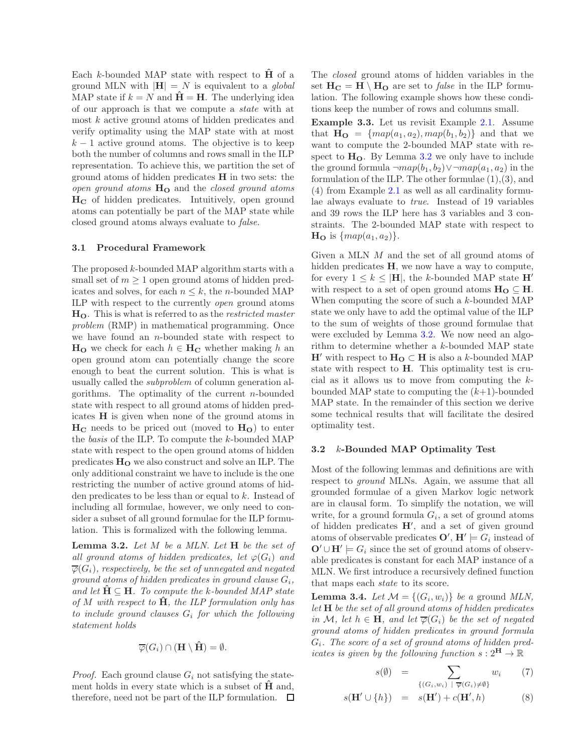Each  $k$ -bounded MAP state with respect to **H** of a ground MLN with  $|\mathbf{H}| = N$  is equivalent to a global MAP state if  $k = N$  and  $H = H$ . The underlying idea of our approach is that we compute a state with at most  $k$  active ground atoms of hidden predicates and verify optimality using the MAP state with at most  $k-1$  active ground atoms. The objective is to keep both the number of columns and rows small in the ILP representation. To achieve this, we partition the set of ground atoms of hidden predicates H in two sets: the open ground atoms  $H<sub>O</sub>$  and the closed ground atoms  $H_C$  of hidden predicates. Intuitively, open ground atoms can potentially be part of the MAP state while closed ground atoms always evaluate to false.

#### 3.1 Procedural Framework

The proposed k-bounded MAP algorithm starts with a small set of  $m > 1$  open ground atoms of hidden predicates and solves, for each  $n \leq k$ , the *n*-bounded MAP ILP with respect to the currently open ground atoms  $H<sub>O</sub>$ . This is what is referred to as the *restricted master* problem (RMP) in mathematical programming. Once we have found an  $n$ -bounded state with respect to  $H_{\mathbf{O}}$  we check for each  $h \in \mathbf{H}_{\mathbf{C}}$  whether making h an open ground atom can potentially change the score enough to beat the current solution. This is what is usually called the subproblem of column generation algorithms. The optimality of the current  $n$ -bounded state with respect to all ground atoms of hidden predicates H is given when none of the ground atoms in  $H_C$  needs to be priced out (moved to  $H_O$ ) to enter the basis of the ILP. To compute the k-bounded MAP state with respect to the open ground atoms of hidden predicates  $H<sub>O</sub>$  we also construct and solve an ILP. The only additional constraint we have to include is the one restricting the number of active ground atoms of hidden predicates to be less than or equal to k. Instead of including all formulae, however, we only need to consider a subset of all ground formulae for the ILP formulation. This is formalized with the following lemma.

<span id="page-3-0"></span>**Lemma 3.2.** Let  $M$  be a MLN. Let  $H$  be the set of all ground atoms of hidden predicates, let  $\varphi(G_i)$  and  $\overline{\varphi}(G_i)$ , respectively, be the set of unnegated and negated ground atoms of hidden predicates in ground clause  $G_i$ , and let  $\hat{H} \subseteq H$ . To compute the k-bounded MAP state of M with respect to  $\hat{H}$ , the ILP formulation only has to include ground clauses  $G_i$  for which the following statement holds

$$
\overline{\varphi}(G_i) \cap (\mathbf{H} \setminus \hat{\mathbf{H}}) = \emptyset.
$$

*Proof.* Each ground clause  $G_i$  not satisfying the statement holds in every state which is a subset of  $H$  and, therefore, need not be part of the ILP formulation.  $\quad \Box$ 

The closed ground atoms of hidden variables in the set  $H_C = H \setminus H_O$  are set to *false* in the ILP formulation. The following example shows how these conditions keep the number of rows and columns small.

Example 3.3. Let us revisit Example [2.1.](#page-1-1) Assume that  $H_{\mathbf{O}} = \{map(a_1, a_2), map(b_1, b_2)\}\$  and that we want to compute the 2-bounded MAP state with respect to  $H<sub>O</sub>$ . By Lemma [3.2](#page-3-0) we only have to include the ground formula  $\neg map(b_1, b_2) \vee \neg map(a_1, a_2)$  in the formulation of the ILP. The other formulae (1),(3), and (4) from Example [2.1](#page-1-1) as well as all cardinality formulae always evaluate to true. Instead of 19 variables and 39 rows the ILP here has 3 variables and 3 constraints. The 2-bounded MAP state with respect to  $\mathbf{H}_{\mathbf{O}}$  is  $\{map(a_1, a_2)\}.$ 

Given a MLN M and the set of all ground atoms of hidden predicates H, we now have a way to compute, for every  $1 \leq k \leq |H|$ , the k-bounded MAP state H' with respect to a set of open ground atoms  $H_0 \subseteq H$ . When computing the score of such a k-bounded MAP state we only have to add the optimal value of the ILP to the sum of weights of those ground formulae that were excluded by Lemma [3.2.](#page-3-0) We now need an algorithm to determine whether a k-bounded MAP state  $H'$  with respect to  $H_0 \subset H$  is also a k-bounded MAP state with respect to H. This optimality test is crucial as it allows us to move from computing the kbounded MAP state to computing the  $(k+1)$ -bounded MAP state. In the remainder of this section we derive some technical results that will facilitate the desired optimality test.

### 3.2 k-Bounded MAP Optimality Test

Most of the following lemmas and definitions are with respect to ground MLNs. Again, we assume that all grounded formulae of a given Markov logic network are in clausal form. To simplify the notation, we will write, for a ground formula  $G_i$ , a set of ground atoms of hidden predicates H′ , and a set of given ground atoms of observable predicates  $\mathbf{O}'$ ,  $\mathbf{H}' \models G_i$  instead of  $\mathbf{O}' \cup \mathbf{H}' \models G_i$  since the set of ground atoms of observable predicates is constant for each MAP instance of a MLN. We first introduce a recursively defined function that maps each state to its score.

<span id="page-3-1"></span>**Lemma 3.4.** Let  $\mathcal{M} = \{(G_i, w_i)\}\)$  be a ground MLN, let H be the set of all ground atoms of hidden predicates in M, let  $h \in H$ , and let  $\overline{\varphi}(G_i)$  be the set of negated ground atoms of hidden predicates in ground formula  $G_i$ . The score of a set of ground atoms of hidden predicates is given by the following function  $s: 2^{\mathbf{H}} \to \mathbb{R}$ 

$$
s(\emptyset) = \sum_{\{(G_i, w_i) \mid \overline{\varphi}(G_i) \neq \emptyset\}} w_i \qquad (7)
$$

$$
s(\mathbf{H}' \cup \{h\}) = s(\mathbf{H}') + c(\mathbf{H}', h) \tag{8}
$$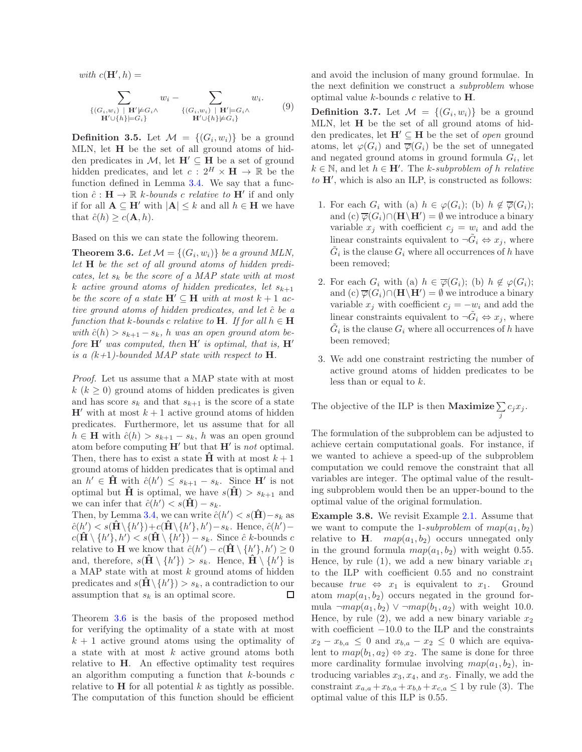with  $c(\mathbf{H}',h) =$ 

$$
\sum_{\{(G_i, w_i) \mid \mathbf{H}' \models G_i\}} w_i - \sum_{\{(G_i, w_i) \mid \mathbf{H}' \models G_i\}} w_i.
$$
\n
$$
\mathbf{H}' \cup \{h\} \models G_i
$$
\n
$$
\mathbf{H}' \cup \{h\} \not\models G_i
$$
\n
$$
(9)
$$

**Definition 3.5.** Let  $\mathcal{M} = \{(G_i, w_i)\}\)$  be a ground MLN, let H be the set of all ground atoms of hidden predicates in  $\mathcal{M}$ , let  $\mathbf{H}' \subseteq \mathbf{H}$  be a set of ground hidden predicates, and let  $c: 2^H \times H \to \mathbb{R}$  be the function defined in Lemma [3.4.](#page-3-1) We say that a function  $\hat{c} : \mathbf{H} \to \mathbb{R}$  k-bounds c relative to  $\mathbf{H}'$  if and only if for all  $A \subseteq H'$  with  $|A| \leq k$  and all  $h \in H$  we have that  $\hat{c}(h) \geq c(\mathbf{A}, h)$ .

Based on this we can state the following theorem.

<span id="page-4-0"></span>**Theorem 3.6.** Let  $\mathcal{M} = \{(G_i, w_i)\}\)$  be a ground MLN, let H be the set of all ground atoms of hidden predicates, let  $s_k$  be the score of a MAP state with at most k active ground atoms of hidden predicates, let  $s_{k+1}$ be the score of a state  $\mathbf{H}' \subseteq \mathbf{H}$  with at most  $k+1$  active ground atoms of hidden predicates, and let  $\hat{c}$  be a function that k-bounds c relative to **H**. If for all  $h \in H$ with  $\hat{c}(h) > s_{k+1} - s_k$ , h was an open ground atom before  $H'$  was computed, then  $H'$  is optimal, that is,  $H'$ is a  $(k+1)$ -bounded MAP state with respect to **H**.

Proof. Let us assume that a MAP state with at most  $k (k \geq 0)$  ground atoms of hidden predicates is given and has score  $s_k$  and that  $s_{k+1}$  is the score of a state  $H'$  with at most  $k+1$  active ground atoms of hidden predicates. Furthermore, let us assume that for all  $h \in \mathbf{H}$  with  $\hat{c}(h) > s_{k+1} - s_k$ , h was an open ground atom before computing  $H'$  but that  $H'$  is not optimal. Then, there has to exist a state  $\hat{H}$  with at most  $k+1$ ground atoms of hidden predicates that is optimal and an  $h' \in \mathbf{\hat{H}}$  with  $\hat{c}(h') \leq s_{k+1} - s_k$ . Since  $\mathbf{H}'$  is not optimal but  $\hat{H}$  is optimal, we have  $s(H) > s_{k+1}$  and we can infer that  $\hat{c}(h') < s(\hat{H}) - s_k$ .

Then, by Lemma [3.4,](#page-3-1) we can write  $\hat{c}(h') < s(\hat{H}) - s_k$  as  $\hat{c}(h') < s(\hat{\mathbf{H}} \setminus \{h'\}) + c(\hat{\mathbf{H}} \setminus \{h'\}, h') - s_k$ . Hence,  $\hat{c}(h')$  $c(\hat{\mathbf{H}} \setminus \{h'\}, h') < s(\hat{\mathbf{H}} \setminus \{h'\}) - s_k$ . Since  $\hat{c}$  k-bounds c relative to **H** we know that  $\hat{c}(h') - c(\hat{H} \setminus \{h'\}, h') \geq 0$ and, therefore,  $s(\hat{\mathbf{H}} \setminus \{h'\}) > s_k$ . Hence,  $\hat{\mathbf{H}} \setminus \{h'\}$  is a MAP state with at most  $k$  ground atoms of hidden predicates and  $s(\hat{\mathbf{H}} \setminus \{h'\}) > s_k$ , a contradiction to our assumption that  $s_k$  is an optimal score. □

Theorem [3.6](#page-4-0) is the basis of the proposed method for verifying the optimality of a state with at most  $k + 1$  active ground atoms using the optimality of a state with at most  $k$  active ground atoms both relative to H. An effective optimality test requires an algorithm computing a function that  $k$ -bounds  $c$ relative to  $H$  for all potential k as tightly as possible. The computation of this function should be efficient

and avoid the inclusion of many ground formulae. In the next definition we construct a subproblem whose optimal value  $k$ -bounds c relative to  $H$ .

**Definition 3.7.** Let  $\mathcal{M} = \{(G_i, w_i)\}\)$  be a ground MLN, let H be the set of all ground atoms of hidden predicates, let  $H' \subseteq H$  be the set of *open* ground atoms, let  $\varphi(G_i)$  and  $\overline{\varphi}(G_i)$  be the set of unnegated and negated ground atoms in ground formula  $G_i$ , let  $k \in \mathbb{N}$ , and let  $h \in H'$ . The k-subproblem of h relative to  $H'$ , which is also an ILP, is constructed as follows:

- 1. For each  $G_i$  with (a)  $h \in \varphi(G_i)$ ; (b)  $h \notin \overline{\varphi}(G_i)$ ; and (c)  $\overline{\varphi}(G_i) \cap (\mathbf{H} \backslash \mathbf{H}') = \emptyset$  we introduce a binary variable  $x_j$  with coefficient  $c_j = w_i$  and add the linear constraints equivalent to  $\neg \tilde{G}_i \Leftrightarrow x_j$ , where  $\tilde{G}_i$  is the clause  $G_i$  where all occurrences of h have been removed;
- 2. For each  $G_i$  with (a)  $h \in \overline{\varphi}(G_i)$ ; (b)  $h \notin \varphi(G_i)$ ; and (c)  $\overline{\varphi}(G_i) \cap (\mathbf{H} \backslash \mathbf{H}') = \emptyset$  we introduce a binary variable  $x_j$  with coefficient  $c_j = -w_i$  and add the linear constraints equivalent to  $\neg \tilde{G}_i \Leftrightarrow x_j$ , where  $\tilde{G}_i$  is the clause  $G_i$  where all occurrences of h have been removed;
- 3. We add one constraint restricting the number of active ground atoms of hidden predicates to be less than or equal to  $k$ .

The objective of the ILP is then **Maximize**  $\sum c_j x_j$ . j

The formulation of the subproblem can be adjusted to achieve certain computational goals. For instance, if we wanted to achieve a speed-up of the subproblem computation we could remove the constraint that all variables are integer. The optimal value of the resulting subproblem would then be an upper-bound to the optimal value of the original formulation.

Example 3.8. We revisit Example [2.1.](#page-1-1) Assume that we want to compute the 1-subproblem of  $map(a_1, b_2)$ relative to **H**.  $map(a_1, b_2)$  occurs unnegated only in the ground formula  $map(a_1, b_2)$  with weight 0.55. Hence, by rule (1), we add a new binary variable  $x_1$ to the ILP with coefficient 0.55 and no constraint because  $true \Leftrightarrow x_1$  is equivalent to  $x_1$ . Ground atom  $map(a_1, b_2)$  occurs negated in the ground formula  $\neg map(a_1, b_2) \vee \neg map(b_1, a_2)$  with weight 10.0. Hence, by rule (2), we add a new binary variable  $x_2$ with coefficient  $-10.0$  to the ILP and the constraints  $x_2 - x_{b,a} \leq 0$  and  $x_{b,a} - x_2 \leq 0$  which are equivalent to  $map(b_1, a_2) \Leftrightarrow x_2$ . The same is done for three more cardinality formulae involving  $map(a_1, b_2)$ , introducing variables  $x_3, x_4$ , and  $x_5$ . Finally, we add the constraint  $x_{a,a} + x_{b,a} + x_{b,b} + x_{c,a} \leq 1$  by rule (3). The optimal value of this ILP is 0.55.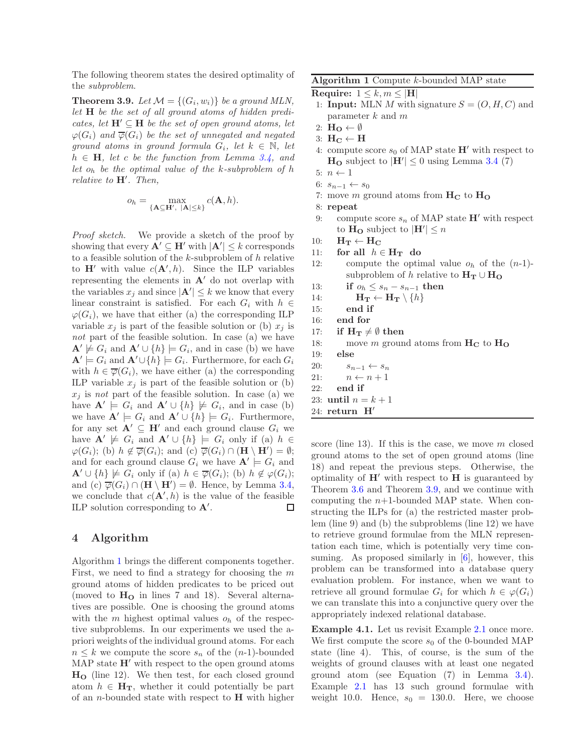The following theorem states the desired optimality of the subproblem.

<span id="page-5-2"></span>**Theorem 3.9.** Let  $\mathcal{M} = \{(G_i, w_i)\}\)$  be a ground MLN, let H be the set of all ground atoms of hidden predicates, let  $H' \subseteq H$  be the set of open ground atoms, let  $\varphi(G_i)$  and  $\overline{\varphi}(G_i)$  be the set of unnegated and negated ground atoms in ground formula  $G_i$ , let  $k \in \mathbb{N}$ , let  $h \in H$ , let c be the function from Lemma [3.4,](#page-3-1) and let  $o_h$  be the optimal value of the k-subproblem of h relative to  $H'$ . Then,

$$
o_h = \max_{\{\mathbf{A} \subseteq \mathbf{H}', \ |\mathbf{A}| \le k\}} c(\mathbf{A}, h).
$$

Proof sketch. We provide a sketch of the proof by showing that every  $\mathbf{A}' \subseteq \mathbf{H}'$  with  $|\mathbf{A}'| \leq k$  corresponds to a feasible solution of the k-subproblem of h relative to  $H'$  with value  $c(A', h)$ . Since the ILP variables representing the elements in  $A'$  do not overlap with the variables  $x_j$  and since  $|\mathbf{A}'| \leq k$  we know that every linear constraint is satisfied. For each  $G_i$  with  $h \in$  $\varphi(G_i)$ , we have that either (a) the corresponding ILP variable  $x_j$  is part of the feasible solution or (b)  $x_j$  is not part of the feasible solution. In case (a) we have  $\mathbf{A}' \not\models G_i$  and  $\mathbf{A}' \cup \{h\} \models G_i$ , and in case (b) we have  $\mathbf{A}' \models G_i$  and  $\mathbf{A}' \cup \{h\} \models G_i$ . Furthermore, for each  $G_i$ with  $h \in \overline{\varphi}(G_i)$ , we have either (a) the corresponding ILP variable  $x_j$  is part of the feasible solution or (b)  $x_i$  is not part of the feasible solution. In case (a) we have  $\mathbf{A}' \models G_i$  and  $\mathbf{A}' \cup \{h\} \not\models G_i$ , and in case (b) we have  $\mathbf{A}' \models G_i$  and  $\mathbf{A}' \cup \{h\} \models G_i$ . Furthermore, for any set  $\mathbf{A}' \subseteq \mathbf{H}'$  and each ground clause  $G_i$  we have  $\mathbf{A}' \not\models G_i$  and  $\mathbf{A}' \cup \{h\} \models G_i$  only if (a)  $h \in$  $\varphi(G_i)$ ; (b)  $h \notin \overline{\varphi}(G_i)$ ; and (c)  $\overline{\varphi}(G_i) \cap (\mathbf{H} \setminus \mathbf{H}') = \emptyset$ ; and for each ground clause  $G_i$  we have  $\mathbf{A}' \models G_i$  and  $\mathbf{A}' \cup \{h\} \not\models G_i$  only if (a)  $h \in \overline{\varphi}(G_i)$ ; (b)  $h \notin \varphi(G_i)$ ; and (c)  $\overline{\varphi}(G_i) \cap (\mathbf{H} \setminus \mathbf{H}') = \emptyset$ . Hence, by Lemma [3.4,](#page-3-1) we conclude that  $c(\mathbf{A}',h)$  is the value of the feasible ILP solution corresponding to  $\mathbf{A}'$ . □

## <span id="page-5-0"></span>4 Algorithm

Algorithm [1](#page-5-1) brings the different components together. First, we need to find a strategy for choosing the  $m$ ground atoms of hidden predicates to be priced out (moved to  $H<sub>O</sub>$  in lines 7 and 18). Several alternatives are possible. One is choosing the ground atoms with the m highest optimal values  $o_h$  of the respective subproblems. In our experiments we used the apriori weights of the individual ground atoms. For each  $n \leq k$  we compute the score  $s_n$  of the  $(n-1)$ -bounded MAP state  $H'$  with respect to the open ground atoms  $H<sub>O</sub>$  (line 12). We then test, for each closed ground atom  $h \in \mathbf{H}_T$ , whether it could potentially be part of an *n*-bounded state with respect to  $H$  with higher

## <span id="page-5-1"></span>Algorithm 1 Compute k-bounded MAP state

```
Require: 1 \leq k, m \leq |H|
```
- 1: **Input:** MLN M with signature  $S = (O, H, C)$  and parameter  $k$  and  $m$
- 2:  $H_O \leftarrow \emptyset$
- 3:  $H_C \leftarrow H$
- 4: compute score  $s_0$  of MAP state  $H'$  with respect to  $H<sub>O</sub>$  subject to  $|H'| \leq 0$  using Lemma [3.4](#page-3-1) (7)
- 5:  $n \leftarrow 1$
- 6:  $s_{n-1} \leftarrow s_0$
- 7: move m ground atoms from  $H_C$  to  $H_O$

8: repeat

- 9: compute score  $s_n$  of MAP state  $H'$  with respect to  $H_0$  subject to  $|H'| \leq n$
- 10:  $H_T \leftarrow H_C$
- 11: for all  $h \in H_T$  do
- 12: compute the optimal value  $o_h$  of the  $(n-1)$ subproblem of h relative to  $H_T \cup H_Q$
- 13: if  $o_h \leq s_n s_{n-1}$  then
- 14:  $\mathbf{H_T} \leftarrow \mathbf{H_T} \setminus \{h\}$
- 15: end if
- 16: end for
- 17: if  $H_T \neq \emptyset$  then

18: move m ground atoms from  $H_C$  to  $H_O$ 

- 19: else 20:  $s_{n-1} \leftarrow s_n$
- 21:  $n \leftarrow n + 1$ 22: end if

23: until  $n = k + 1$ 

24: return H′

score (line 13). If this is the case, we move  $m$  closed ground atoms to the set of open ground atoms (line 18) and repeat the previous steps. Otherwise, the optimality of  $H'$  with respect to  $H$  is guaranteed by Theorem [3.6](#page-4-0) and Theorem [3.9,](#page-5-2) and we continue with computing the  $n+1$ -bounded MAP state. When constructing the ILPs for (a) the restricted master problem (line 9) and (b) the subproblems (line 12) we have to retrieve ground formulae from the MLN representation each time, which is potentially very time consuming. As proposed similarly in  $[6]$ , however, this problem can be transformed into a database query evaluation problem. For instance, when we want to retrieve all ground formulae  $G_i$  for which  $h \in \varphi(G_i)$ we can translate this into a conjunctive query over the appropriately indexed relational database.

Example 4.1. Let us revisit Example [2.1](#page-1-1) once more. We first compute the score  $s_0$  of the 0-bounded MAP state (line 4). This, of course, is the sum of the weights of ground clauses with at least one negated ground atom (see Equation (7) in Lemma [3.4\)](#page-3-1). Example [2.1](#page-1-1) has 13 such ground formulae with weight 10.0. Hence,  $s_0 = 130.0$ . Here, we choose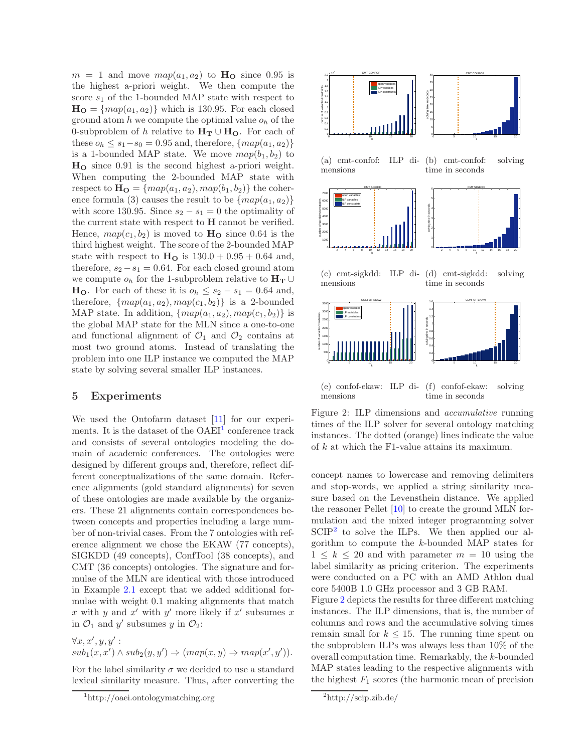$m = 1$  and move  $map(a_1, a_2)$  to  $H_0$  since 0.95 is the highest a-priori weight. We then compute the score  $s_1$  of the 1-bounded MAP state with respect to  $H_O = \{map(a_1, a_2)\}\$  which is 130.95. For each closed ground atom  $h$  we compute the optimal value  $o_h$  of the 0-subproblem of h relative to  $H_T \cup H_O$ . For each of these  $o_h \leq s_1 - s_0 = 0.95$  and, therefore,  $\{map(a_1, a_2)\}$ is a 1-bounded MAP state. We move  $map(b_1, b_2)$  to H<sup>O</sup> since 0.91 is the second highest a-priori weight. When computing the 2-bounded MAP state with respect to  $\mathbf{H_O} = \{map(a_1, a_2), map(b_1, b_2)\}\$  the coherence formula (3) causes the result to be  $\{map(a_1, a_2)\}$ with score 130.95. Since  $s_2 - s_1 = 0$  the optimality of the current state with respect to H cannot be verified. Hence,  $map(c_1, b_2)$  is moved to  $H_0$  since 0.64 is the third highest weight. The score of the 2-bounded MAP state with respect to  $H<sub>O</sub>$  is  $130.0 + 0.95 + 0.64$  and, therefore,  $s_2 - s_1 = 0.64$ . For each closed ground atom we compute  $o_h$  for the 1-subproblem relative to  $H_T \cup$ **H<sub>O</sub>**. For each of these it is  $o_h \leq s_2 - s_1 = 0.64$  and, therefore,  $\{map(a_1, a_2), map(c_1, b_2)\}$  is a 2-bounded MAP state. In addition,  $\{map(a_1, a_2), map(c_1, b_2)\}\$ is the global MAP state for the MLN since a one-to-one and functional alignment of  $\mathcal{O}_1$  and  $\mathcal{O}_2$  contains at most two ground atoms. Instead of translating the problem into one ILP instance we computed the MAP state by solving several smaller ILP instances.

## <span id="page-6-0"></span>5 Experiments

We used the Ontofarm dataset [\[11\]](#page-7-12) for our experiments. It is the dataset of the  $OAEI<sup>1</sup>$  $OAEI<sup>1</sup>$  $OAEI<sup>1</sup>$  conference track and consists of several ontologies modeling the domain of academic conferences. The ontologies were designed by different groups and, therefore, reflect different conceptualizations of the same domain. Reference alignments (gold standard alignments) for seven of these ontologies are made available by the organizers. These 21 alignments contain correspondences between concepts and properties including a large number of non-trivial cases. From the 7 ontologies with reference alignment we chose the EKAW (77 concepts), SIGKDD (49 concepts), ConfTool (38 concepts), and CMT (36 concepts) ontologies. The signature and formulae of the MLN are identical with those introduced in Example [2.1](#page-1-1) except that we added additional formulae with weight 0.1 making alignments that match x with y and  $x'$  with y' more likely if  $x'$  subsumes x in  $\mathcal{O}_1$  and y' subsumes y in  $\mathcal{O}_2$ :

 $\forall x, x', y, y'$ :  $sub_1(x, x') \wedge sub_2(y, y') \Rightarrow (map(x, y) \Rightarrow map(x', y')).$ 

For the label similarity  $\sigma$  we decided to use a standard lexical similarity measure. Thus, after converting the



(e) confof-ekaw: ILP di-(f) confof-ekaw: solving mensions time in seconds

<span id="page-6-3"></span>Figure 2: ILP dimensions and accumulative running times of the ILP solver for several ontology matching instances. The dotted (orange) lines indicate the value of k at which the F1-value attains its maximum.

concept names to lowercase and removing delimiters and stop-words, we applied a string similarity measure based on the Levensthein distance. We applied the reasoner Pellet [\[10\]](#page-7-13) to create the ground MLN formulation and the mixed integer programming solver  $\text{SCIP}^2$  $\text{SCIP}^2$  to solve the ILPs. We then applied our algorithm to compute the k-bounded MAP states for  $1 \leq k \leq 20$  and with parameter  $m = 10$  using the label similarity as pricing criterion. The experiments were conducted on a PC with an AMD Athlon dual core 5400B 1.0 GHz processor and 3 GB RAM.

Figure [2](#page-6-3) depicts the results for three different matching instances. The ILP dimensions, that is, the number of columns and rows and the accumulative solving times remain small for  $k \leq 15$ . The running time spent on the subproblem ILPs was always less than 10% of the overall computation time. Remarkably, the k-bounded MAP states leading to the respective alignments with the highest  $F_1$  scores (the harmonic mean of precision

<span id="page-6-1"></span><sup>1</sup> http://oaei.ontologymatching.org

<span id="page-6-2"></span><sup>2</sup> http://scip.zib.de/